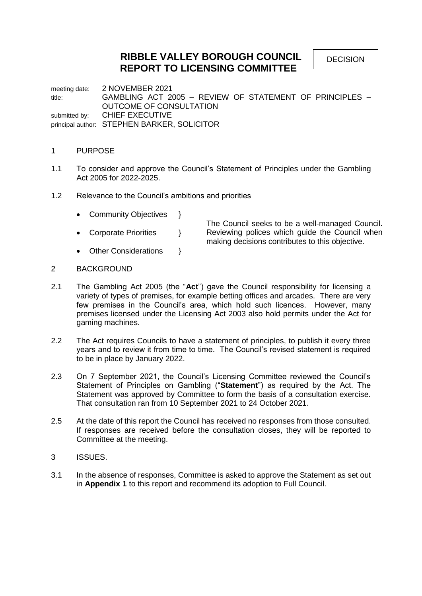# **RIBBLE VALLEY BOROUGH COUNCIL REPORT TO LICENSING COMMITTEE**

meeting date: 2 NOVEMBER 2021 title: GAMBLING ACT 2005 – REVIEW OF STATEMENT OF PRINCIPLES – OUTCOME OF CONSULTATION submitted by: CHIEF EXECUTIVE principal author: STEPHEN BARKER, SOLICITOR

### 1 PURPOSE

- 1.1 To consider and approve the Council's Statement of Principles under the Gambling Act 2005 for 2022-2025.
- 1.2 Relevance to the Council's ambitions and priorities
	- Community Objectives }
	- Corporate Priorities }

The Council seeks to be a well-managed Council. Reviewing polices which guide the Council when making decisions contributes to this objective.

Other Considerations }

# 2 BACKGROUND

- 2.1 The Gambling Act 2005 (the "**Act**") gave the Council responsibility for licensing a variety of types of premises, for example betting offices and arcades. There are very few premises in the Council's area, which hold such licences. However, many premises licensed under the Licensing Act 2003 also hold permits under the Act for gaming machines.
- 2.2 The Act requires Councils to have a statement of principles, to publish it every three years and to review it from time to time. The Council's revised statement is required to be in place by January 2022.
- 2.3 On 7 September 2021, the Council's Licensing Committee reviewed the Council's Statement of Principles on Gambling ("**Statement**") as required by the Act. The Statement was approved by Committee to form the basis of a consultation exercise. That consultation ran from 10 September 2021 to 24 October 2021.
- 2.5 At the date of this report the Council has received no responses from those consulted. If responses are received before the consultation closes, they will be reported to Committee at the meeting.
- 3 ISSUES.
- 3.1 In the absence of responses, Committee is asked to approve the Statement as set out in **Appendix 1** to this report and recommend its adoption to Full Council.